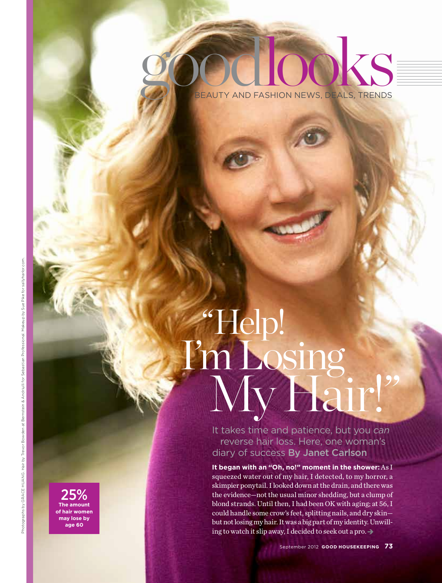# goo **BEAUTY AND FASHION NEWS, DEALS, TRENDS**

# "Help! I'm Losing My Hair!"

It takes time and patience, but you *can* reverse hair loss. Here, one woman's diary of success By Janet Carlson

**It began with an "Oh, no!" moment in the shower:** As I squeezed water out of my hair, I detected, to my horror, a skimpier ponytail. I looked down at the drain, and there was the evidence—not the usual minor shedding, but a clump of blond strands. Until then, I had been OK with aging; at 56, I could handle some crow's feet, splitting nails, and dry skin but not losing my hair. It was a big part of my identity. Unwilling to watch it slip away, I decided to seek out a pro.  $\rightarrow$ 

25% **The amount of hair women may lose by age 60**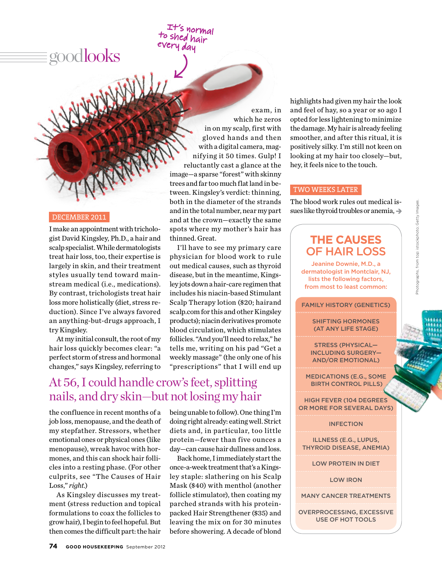goodlooks

WARNALL

#### December 2011

I make an appointment with trichologist David Kingsley, Ph.D., a hair and scalp specialist. While dermatologists treat hair loss, too, their expertise is largely in skin, and their treatment styles usually tend toward mainstream medical (i.e., medications). By contrast, trichologists treat hair loss more holistically (diet, stress reduction). Since I've always favored an anything-but-drugs approach, I try Kingsley.

At my initial consult, the root of my hair loss quickly becomes clear: "a perfect storm of stress and hormonal changes," says Kingsley, referring to

exam, in which he zeros in on my scalp, first with gloved hands and then with a digital camera, magnifying it 50 times. Gulp! I reluctantly cast a glance at the image—a sparse "forest" with skinny trees and far too much flat land in between. Kingsley's verdict: thinning, both in the diameter of the strands and in the total number, near my part and at the crown—exactly the same spots where my mother's hair has thinned. Great.

It's normal to shed hair day

> I'll have to see my primary care physician for blood work to rule out medical causes, such as thyroid disease, but in the meantime, Kingsley jots down a hair-care regimen that includes his niacin-based Stimulant Scalp Therapy lotion (\$20; hairand scalp.com for this and other Kingsley products); niacin derivatives promote blood circulation, which stimulates follicles. "And you'll need to relax," he tells me, writing on his pad "Get a weekly massage" (the only one of his "prescriptions" that I will end up

## At 56, I could handle crow's feet, splitting nails, and dry skin—but not losing my hair

the confluence in recent months of a job loss, menopause, and the death of my stepfather. Stressors, whether emotional ones or physical ones (like menopause), wreak havoc with hormones, and this can shock hair follicles into a resting phase. (For other culprits, see "The Causes of Hair Loss," *right.*)

As Kingsley discusses my treatment (stress reduction and topical formulations to coax the follicles to grow hair), I begin to feel hopeful. But then comes the difficult part: the hair being unable to follow). One thing I'm doing right already: eating well. Strict diets and, in particular, too little protein—fewer than five ounces a day—can cause hair dullness and loss.

Back home, I immediately start the once-a-week treatment that's a Kingsley staple: slathering on his Scalp Mask (\$40) with menthol (another follicle stimulator), then coating my parched strands with his proteinpacked Hair Strengthener (\$35) and leaving the mix on for 30 minutes before showering. A decade of blond

highlights had given my hair the look and feel of hay, so a year or so ago I opted for less lightening to minimize the damage. My hair is already feeling smoother, and after this ritual, it is positively silky. I'm still not keen on looking at my hair too closely—but, hey, it feels nice to the touch.

#### two weeks later

The blood work rules out medical issues like thyroid troubles or anemia,  $\rightarrow$ 

### **The Causes**  of Hair Loss

Jeanine Downie, M.D., a dermatologist in Montclair, NJ, lists the following factors, from most to least common:

#### **FAMILY HISTORY (GENETICS)**

Shifting hormones (at any life stage)

Stress (physical including surgery and/or emotional)

Medications (e.g., some birth control pills)

High fever (104 degrees or more for several days)

#### **INFECTION**

Illness (e.g., Lupus, thyroid disease, anemia)

Low protein in diet

Low iron

Many cancer treatments

Overprocessing, Excessive use of hot tools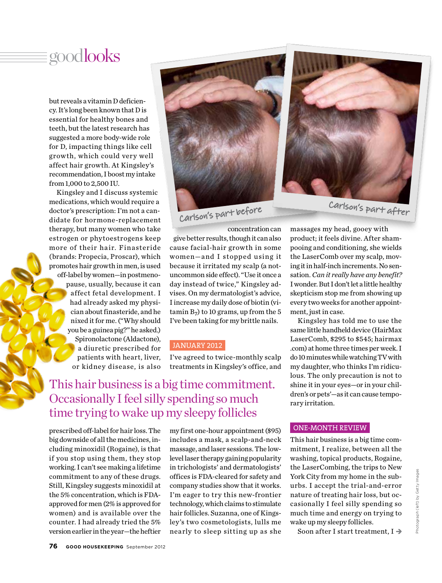# goodlooks

but reveals a vitamin D deficiency. It's long been known that D is essential for healthy bones and teeth, but the latest research has suggested a more body-wide role for D, impacting things like cell grow th, which could very well affect hair growth. At Kingsley's recommendation, I boost my intake from 1,000 to 2,500 IU.

Kingsley and I discuss systemic medications, which would require a doctor's prescription: I'm not a candidate for hormone-replacement therapy, but many women who take estrogen or phytoestrogens keep more of their hair. Finasteride (brands: Propecia, Proscar), which promotes hair growth in men, is used off-label by women—in postmenopause, usually, because it can affect fetal development. I had already asked my physician about finasteride, and he nixed it for me. ("Why should you be a guinea pig?" he asked.) Spironolactone (Aldactone), a diuretic prescribed for patients with heart, liver, or kidney disease, is also



concentration can give better results, though it can also cause facial-hair growth in some women-and I stopped using it because it irritated my scalp (a notuncommon side effect). "Use it once a day instead of twice," Kingsley advises. On my dermatologist's advice, I increase my daily dose of biotin (vitamin  $B_7$ ) to 10 grams, up from the 5 I've been taking for my brittle nails.

#### january 2012

I've agreed to twice-monthly scalp treatments in Kingsley's office, and

## This hair business is a big time commitment. Occasionally I feel silly spending so much time trying to wake up my sleepy follicles

prescribed off-label for hair loss. The big downside of all the medicines, including minoxidil (Rogaine), is that if you stop using them, they stop working. I can't see making a lifetime commitment to any of these drugs. Still, Kingsley suggests minoxidil at the 5% concentration, which is FDAapproved for men (2% is approved for women) and is available over the counter. I had already tried the 5% version earlier in the year—the heftier

my first one-hour appointment (\$95) includes a mask, a scalp-and-neck massage, and laser sessions. The lowlevel laser therapy gaining popularity in trichologists' and dermatologists' offices is FDA-cleared for safety and company studies show that it works. I'm eager to try this new-frontier technology, which claims to stimulate hair follicles. Suzanna, one of Kingsley's two cosmetologists, lulls me nearly to sleep sitting up as she

massages my head, gooey with product; it feels divine. After shampooing and conditioning, she wields the LaserComb over my scalp, moving it in half-inch increments. No sensation. *Can it really have any benefit?* I wonder. But I don't let a little healthy skepticism stop me from showing up every two weeks for another appointment, just in case.

Kingsley has told me to use the same little handheld device (HairMax LaserComb, \$295 to \$545; hairmax .com) at home three times per week. I do 10 minutes while watching TV with my daughter, who thinks I'm ridiculous. The only precaution is not to shine it in your eyes—or in your children's or pets'—as it can cause temporary irritation.

#### one-month review

This hair business is a big time commitment, I realize, between all the washing, topical products, Rogaine, the LaserCombing, the trips to New York City from my home in the suburbs. I accept the trial-and-error nature of treating hair loss, but occasionally I feel silly spending so much time and energy on trying to wake up my sleepy follicles.

Soon after I start treatment,  $I \rightarrow$